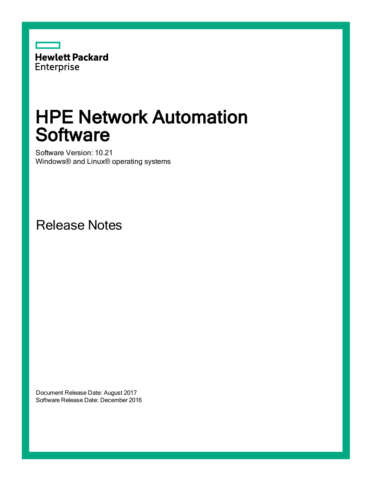

# HPE Network Automation **Software**

Software Version: 10.21 Windows® and Linux® operating systems

Release Notes

Document Release Date: August 2017 Software Release Date: December 2016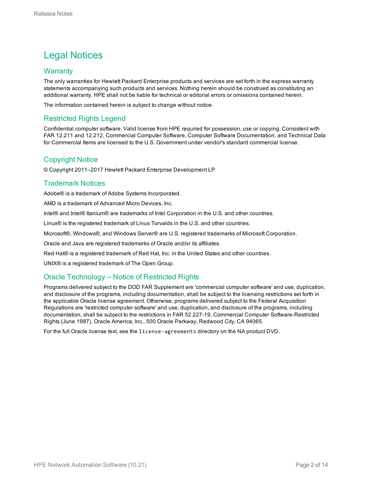# Legal Notices

# **Warranty**

The only warranties for Hewlett Packard Enterprise products and services are set forth in the express warranty statements accompanying such products and services. Nothing herein should be construed as constituting an additional warranty. HPE shall not be liable for technical or editorial errors or omissions contained herein.

The information contained herein is subject to change without notice.

# Restricted Rights Legend

Confidential computer software. Valid license from HPE required for possession, use or copying. Consistent with FAR 12.211 and 12.212, Commercial Computer Software, Computer Software Documentation, and Technical Data for Commercial Items are licensed to the U.S. Government under vendor's standard commercial license.

# Copyright Notice

© Copyright 2011–2017 Hewlett Packard Enterprise Development LP

# Trademark Notices

Adobe® is a trademark of Adobe Systems Incorporated.

AMD is a trademark of Advanced Micro Devices, Inc.

Intel® and Intel® Itanium® are trademarks of Intel Corporation in the U.S. and other countries.

Linux® is the registered trademark of Linus Torvalds in the U.S. and other countries.

Microsoft®, Windows®, and Windows Server® are U.S. registered trademarks of Microsoft Corporation.

Oracle and Java are registered trademarks of Oracle and/or its affiliates.

Red Hat® is a registered trademark of Red Hat, Inc. in the United States and other countries.

UNIX® is a registered trademark of The Open Group.

# Oracle Technology — Notice of Restricted Rights

Programs delivered subject to the DOD FAR Supplement are 'commercial computer software' and use, duplication, and disclosure of the programs, including documentation, shall be subject to the licensing restrictions set forth in the applicable Oracle license agreement. Otherwise, programs delivered subject to the Federal Acquisition Regulations are 'restricted computer software' and use, duplication, and disclosure of the programs, including documentation, shall be subject to the restrictions in FAR 52.227-19, Commercial Computer Software-Restricted Rights (June 1987). Oracle America, Inc., 500 Oracle Parkway, Redwood City, CA 94065.

For the full Oracle license text, see the license-agreements directory on the NA product DVD.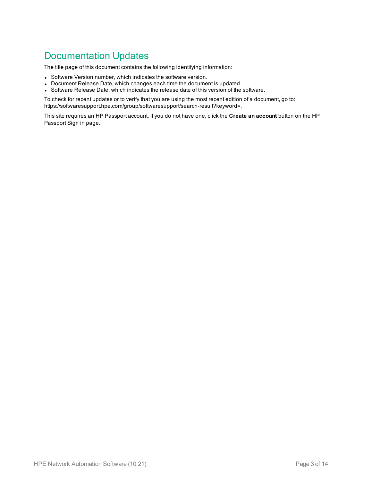# Documentation Updates

The title page of this document contains the following identifying information:

- Software Version number, which indicates the software version.
- Document Release Date, which changes each time the document is updated.
- Software Release Date, which indicates the release date of this version of the software.

To check for recent updates or to verify that you are using the most recent edition of a document, go to: https://softwaresupport.hpe.com/group/softwaresupport/search-result?keyword=.

This site requires an HP Passport account. If you do not have one, click the **Create an account** button on the HP Passport Sign in page.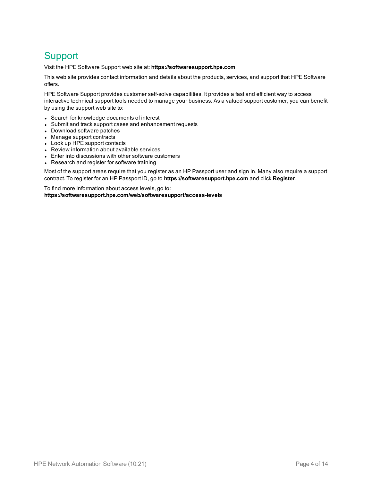# **Support**

Visit the HPE Software Support web site at: **https://softwaresupport.hpe.com**

This web site provides contact information and details about the products, services, and support that HPE Software offers.

HPE Software Support provides customer self-solve capabilities. It provides a fast and efficient way to access interactive technical support tools needed to manage your business. As a valued support customer, you can benefit by using the support web site to:

- Search for knowledge documents of interest
- Submit and track support cases and enhancement requests
- Download software patches
- Manage support contracts
- Look up HPE support contacts
- Review information about available services
- Enter into discussions with other software customers
- Research and register for software training

Most of the support areas require that you register as an HP Passport user and sign in. Many also require a support contract. To register for an HP Passport ID, go to **https://softwaresupport.hpe.com** and click **Register**.

To find more information about access levels, go to: **https://softwaresupport.hpe.com/web/softwaresupport/access-levels**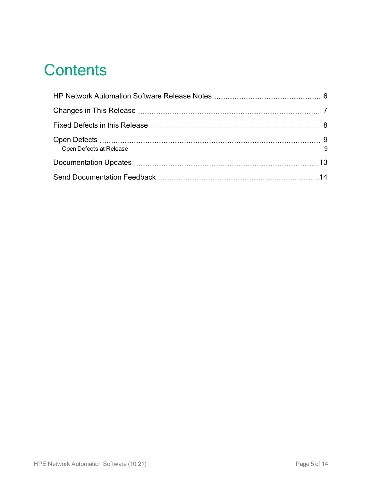# **Contents**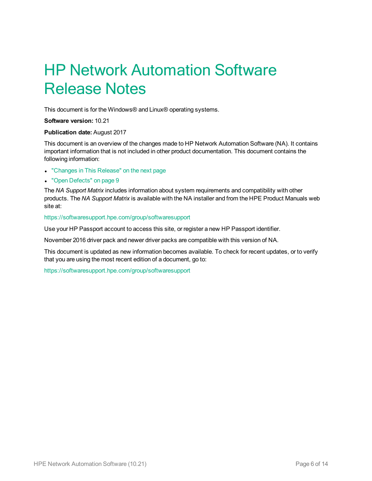# <span id="page-5-0"></span>HP Network Automation Software Release Notes

This document is for the Windows® and Linux® operating systems.

**Software version:** 10.21

#### **Publication date:** August 2017

This document is an overview of the changes made to HP Network Automation Software (NA). It contains important information that is not included in other product documentation. This document contains the following information:

- ["Changes](#page-6-0) in This Release" on the next page
- "Open [Defects"](#page-8-0) on page 9

The *NA Support Matrix* includes information about system requirements and compatibility with other products. The *NA Support Matrix* is available with the NA installer and from the HPE Product Manuals web site at:

#### [https://softwaresupport.hpe.com/group/softwaresupport](https://softwaresupport.hp.com/group/softwaresupport)

Use your HP Passport account to access this site, or register a new HP Passport identifier.

November 2016 driver pack and newer driver packs are compatible with this version of NA.

This document is updated as new information becomes available. To check for recent updates, or to verify that you are using the most recent edition of a document, go to:

[https://softwaresupport.hpe.com/group/softwaresupport](https://softwaresupport.hp.com/group/softwaresupport)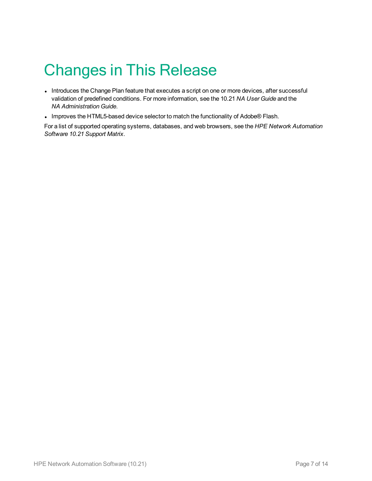# <span id="page-6-0"></span>Changes in This Release

- Introduces the Change Plan feature that executes a script on one or more devices, after successful validation of predefined conditions. For more information, see the 10.21 *NA User Guide* and the *NA Administration Guide*.
- Improves the HTML5-based device selector to match the functionality of Adobe® Flash.

For a list of supported operating systems, databases, and web browsers, see the *HPE Network Automation Software 10.21 Support Matrix*.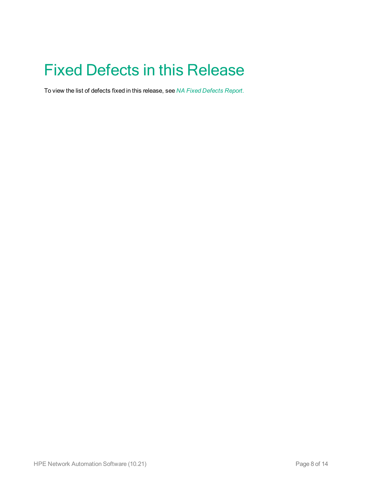# <span id="page-7-0"></span>Fixed Defects in this Release

To view the list of defects fixed in this release, see *NA Fixed [Defects](https://softwaresupport.hpe.com/km/KM02686104) Report*.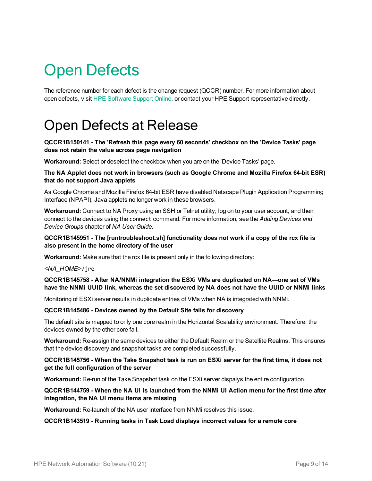# <span id="page-8-0"></span>Open Defects

<span id="page-8-1"></span>The reference number for each defect is the change request (QCCR) number. For more information about open defects, visit HPE [Software](https://softwaresupport.hp.com/) Support Online, or contact your HPE Support representative directly.

# Open Defects at Release

## **QCCR1B150141 - The 'Refresh this page every 60 seconds' checkbox on the 'Device Tasks' page does not retain the value across page navigation**

**Workaround:** Select or deselect the checkbox when you are on the 'Device Tasks' page.

#### **The NA Applet does not work in browsers (such as Google Chrome and Mozilla Firefox 64-bit ESR) that do not support Java applets**

As Google Chrome and Mozilla Firefox 64-bit ESR have disabled Netscape Plugin Application Programming Interface (NPAPI), Java applets no longer work in these browsers.

**Workaround:** Connect to NA Proxy using an SSH or Telnet utility, log on to your user account, and then connect to the devices using the connect command. For more information, see the *Adding Devices and Device Groups* chapter of *NA User Guide*.

#### **QCCR1B145951 - The [runtroubleshoot.sh] functionality does not work if a copy of the rcx file is also present in the home directory of the user**

**Workaround:** Make sure that the rcx file is present only in the following directory:

## *<NA\_HOME>*/jre

#### **QCCR1B145758 - After NA/NNMi integration the ESXi VMs are duplicated on NA—one set of VMs** have the NNMi UUID link, whereas the set discovered by NA does not have the UUID or NNMi links

Monitoring of ESXi server results in duplicate entries of VMs when NA is integrated with NNMi.

#### **QCCR1B145486 - Devices owned by the Default Site fails for discovery**

The default site is mapped to only one core realm in the Horizontal Scalability environment. Therefore, the devices owned by the other core fail.

**Workaround:** Re-assign the same devices to either the Default Realm or the Satellite Realms. This ensures that the device discovery and snapshot tasks are completed successfully.

#### QCCR1B145756 - When the Take Snapshot task is run on ESXi server for the first time, it does not **get the full configuration of the server**

**Workaround:** Re-run of the Take Snapshot task on the ESXi server dispalys the entire configuration.

#### QCCR1B144759 - When the NA UI is launched from the NNMi UI Action menu for the first time after **integration, the NA UI menu items are missing**

**Workaround:** Re-launch of the NA user interface from NNMi resolves this issue.

#### **QCCR1B143519 - Running tasks in Task Load displays incorrect values for a remote core**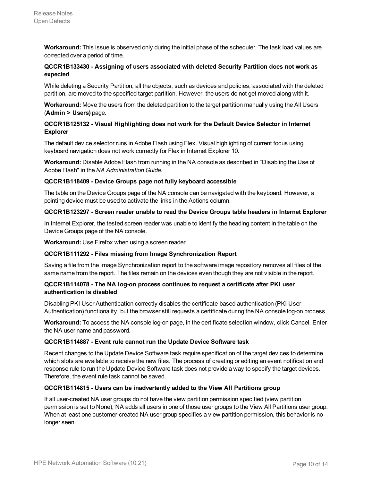**Workaround:** This issue is observed only during the initial phase of the scheduler. The task load values are corrected over a period of time.

## **QCCR1B133430 - Assigning of users associated with deleted Security Partition does not work as expected**

While deleting a Security Partition, all the objects, such as devices and policies, associated with the deleted partition, are moved to the specified target partition. However, the users do not get moved along with it.

**Workaround:** Move the users from the deleted partition to the target partition manually using the All Users (**Admin > Users)** page.

## **QCCR1B125132 - Visual Highlighting does not work for the Default Device Selector in Internet Explorer**

The default device selector runs in Adobe Flash using Flex. Visual highlighting of current focus using keyboard navigation does not work correctly for Flex in Internet Explorer 10.

**Workaround:** Disable Adobe Flash from running in the NA console as described in "Disabling the Use of Adobe Flash" in the *NA Administration Guide*.

## **QCCR1B118409 - Device Groups page not fully keyboard accessible**

The table on the Device Groups page of the NA console can be navigated with the keyboard. However, a pointing device must be used to activate the links in the Actions column.

#### **QCCR1B123297 - Screen reader unable to read the Device Groups table headers in Internet Explorer**

In Internet Explorer, the tested screen reader was unable to identify the heading content in the table on the Device Groups page of the NA console.

**Workaround:** Use Firefox when using a screen reader.

## **QCCR1B111292 - Files missing from Image Synchronization Report**

Saving a file from the Image Synchronization report to the software image repository removes all files of the same name from the report. The files remain on the devices even though they are not visible in the report.

## **QCCR1B114078 - The NA log-on process continues to request a certificate after PKI user authentication is disabled**

Disabling PKI User Authentication correctly disables the certificate-based authentication (PKI User Authentication) functionality, but the browser still requests a certificate during the NA console log-on process.

**Workaround:** To access the NA console log-on page, in the certificate selection window, click Cancel. Enter the NA user name and password.

#### **QCCR1B114887 - Event rule cannot run the Update Device Software task**

Recent changes to the Update Device Software task require specification of the target devices to determine which slots are available to receive the new files. The process of creating or editing an event notification and response rule to run the Update Device Software task does not provide a way to specify the target devices. Therefore, the event rule task cannot be saved.

## **QCCR1B114815 - Users can be inadvertently added to the View All Partitions group**

If all user-created NA user groups do not have the view partition permission specified (view partition permission is set to None), NA adds all users in one of those user groups to the View All Partitions user group. When at least one customer-created NA user group specifies a view partition permission, this behavior is no longer seen.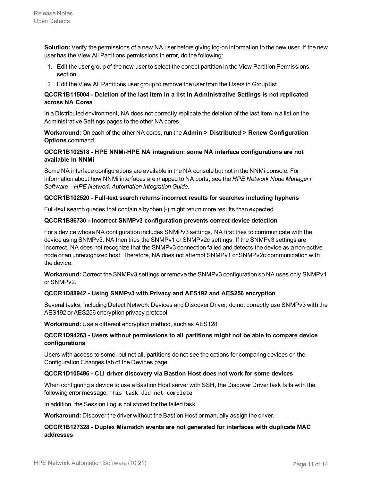**Solution:** Verify the permissions of a new NA user before giving log-on information to the new user. If the new user has the View All Partitions permissions in error, do the following:

- 1. Edit the user group of the new user to select the correct partition in the View Partition Permissions section.
- 2. Edit the View All Partitions user group to remove the user from the Users in Group list.

## **QCCR1B115004 - Deletion of the last item in a list in Administrative Settings is not replicated across NA Cores**

In a Distributed environment, NA does not correctly replicate the deletion of the last item in a list on the Administrative Settings pages to the other NA cores.

**Workaround:** On each of the other NA cores, run the **Admin > Distributed > Renew Configuration Options** command.

## **QCCR1B102518 - HPE NNMi-HPE NA integration: some NA interface configurations are not available in NNMi**

Some NA interface configurations are available in the NA console but not in the NNMi console. For information about how NNMi interfaces are mapped to NA ports, see the *HPE Network Node Manager i Software—HPE Network Automation Integration Guide*.

#### **QCCR1B102520 - Full-text search returns incorrect results for searches including hyphens**

Full-text search queries that contain a hyphen (-) might return more results than expected.

#### **QCCR1B86730 - Incorrect SNMPv3 configuration prevents correct device detection**

For a device whose NA configuration includes SNMPv3 settings, NA first tries to communicate with the device using SNMPv3. NA then tries the SNMPv1 or SNMPv2c settings. If the SNMPv3 settings are incorrect, NA does not recognize that the SNMPv3 connection failed and detects the device as a non-active node or an unrecognized host. Therefore, NA does not attempt SNMPv1 or SNMPv2c communication with the device.

**Workaround:** Correct the SNMPv3 settings or remove the SNMPv3 configuration so NA uses only SNMPv1 or SNMPv2.

#### **QCCR1D88942 - Using SNMPv3 with Privacy and AES192 and AES256 encryption**

Several tasks, including Detect Network Devices and Discover Driver, do not correctly use SNMPv3 with the AES192 or AES256 encryption privacy protocol.

**Workaround:** Use a different encryption method, such as AES128.

## **QCCR1D94263 - Users without permissions to all partitions might not be able to compare device configurations**

Users with access to some, but not all, partitions do not see the options for comparing devices on the Configuration Changes tab of the Devices page.

#### **QCCR1D105486 - CLI driver discovery via Bastion Host does not work for some devices**

When configuring a device to use a Bastion Host server with SSH, the Discover Driver task fails with the following error message: This task did not complete

In addition, the Session Log is not stored for the failed task.

**Workaround:** Discover the driver without the Bastion Host or manually assign the driver.

#### **QCCR1B127328 - Duplex Mismatch events are not generated for interfaces with duplicate MAC addresses**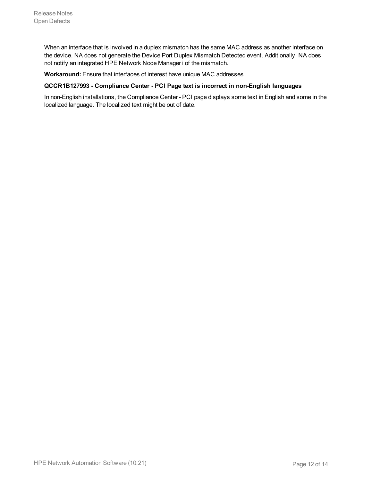When an interface that is involved in a duplex mismatch has the same MAC address as another interface on the device, NA does not generate the Device Port Duplex Mismatch Detected event. Additionally, NA does not notify an integrated HPE Network Node Manager i of the mismatch.

**Workaround:** Ensure that interfaces of interest have unique MAC addresses.

#### **QCCR1B127993 - Compliance Center - PCI Page text is incorrect in non-English languages**

In non-English installations, the Compliance Center - PCI page displays some text in English and some in the localized language. The localized text might be out of date.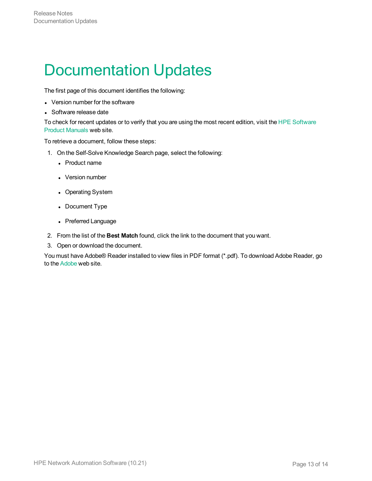# <span id="page-12-0"></span>Documentation Updates

The first page of this document identifies the following:

- Version number for the software
- Software release date

To check for recent updates or to verify that you are using the most recent edition, visit the HPE [Software](https://softwaresupport.hpe.com/group/softwaresupport) Product [Manuals](https://softwaresupport.hpe.com/group/softwaresupport) web site.

To retrieve a document, follow these steps:

- 1. On the Self-Solve Knowledge Search page, select the following:
	- Product name
	- Version number
	- Operating System
	- Document Type
	- Preferred Language
- 2. From the list of the **Best Match** found, click the link to the document that you want.
- 3. Open or download the document.

You must have Adobe® Reader installed to view files in PDF format (\*.pdf). To download Adobe Reader, go to the [Adobe](http://www.adobe.com/) web site.